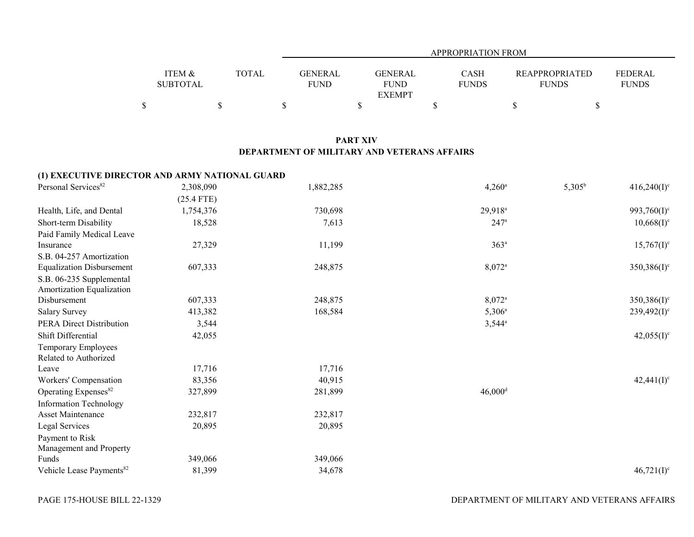|                   |              | APPROPRIATION FROM               |              |                       |                |  |  |  |  |
|-------------------|--------------|----------------------------------|--------------|-----------------------|----------------|--|--|--|--|
|                   |              |                                  |              |                       |                |  |  |  |  |
| <b>ITEM &amp;</b> | <b>TOTAL</b> | <b>GENERAL</b><br><b>GENERAL</b> | <b>CASH</b>  | <b>REAPPROPRIATED</b> | <b>FEDERAL</b> |  |  |  |  |
| <b>SUBTOTAL</b>   |              | <b>FUND</b><br><b>FUND</b>       | <b>FUNDS</b> | <b>FUNDS</b>          | <b>FUNDS</b>   |  |  |  |  |
|                   |              | <b>EXEMPT</b>                    |              |                       |                |  |  |  |  |
|                   |              |                                  |              |                       |                |  |  |  |  |

## **PART XIV DEPARTMENT OF MILITARY AND VETERANS AFFAIRS**

## **(1) EXECUTIVE DIRECTOR AND ARMY NATIONAL GUARD**

| Personal Services <sup>82</sup>      | 2,308,090    | 1,882,285 | $4,260^{\circ}$       | $5,305^{\rm b}$ | $416,240(I)^c$           |
|--------------------------------------|--------------|-----------|-----------------------|-----------------|--------------------------|
|                                      | $(25.4$ FTE) |           |                       |                 |                          |
| Health, Life, and Dental             | 1,754,376    | 730,698   | 29,918 <sup>a</sup>   |                 | 993,760(I) <sup>c</sup>  |
| Short-term Disability                | 18,528       | 7,613     | $247^{\circ}$         |                 | $10,668(1)$ <sup>c</sup> |
| Paid Family Medical Leave            |              |           |                       |                 |                          |
| Insurance                            | 27,329       | 11,199    | 363 <sup>a</sup>      |                 | $15,767(I)^c$            |
| S.B. 04-257 Amortization             |              |           |                       |                 |                          |
| <b>Equalization Disbursement</b>     | 607,333      | 248,875   | 8,072 <sup>a</sup>    |                 | $350,386(I)^c$           |
| S.B. 06-235 Supplemental             |              |           |                       |                 |                          |
| Amortization Equalization            |              |           |                       |                 |                          |
| Disbursement                         | 607,333      | 248,875   | $8,072^{\circ}$       |                 | $350,386(I)^c$           |
| <b>Salary Survey</b>                 | 413,382      | 168,584   | $5,306^{\circ}$       |                 | $239,492(I)^c$           |
| PERA Direct Distribution             | 3,544        |           | $3,544^{\circ}$       |                 |                          |
| Shift Differential                   | 42,055       |           |                       |                 | $42,055(I)^c$            |
| Temporary Employees                  |              |           |                       |                 |                          |
| Related to Authorized                |              |           |                       |                 |                          |
| Leave                                | 17,716       | 17,716    |                       |                 |                          |
| Workers' Compensation                | 83,356       | 40,915    |                       |                 | $42,441(I)^c$            |
| Operating Expenses <sup>82</sup>     | 327,899      | 281,899   | $46,000$ <sup>d</sup> |                 |                          |
| <b>Information Technology</b>        |              |           |                       |                 |                          |
| <b>Asset Maintenance</b>             | 232,817      | 232,817   |                       |                 |                          |
| Legal Services                       | 20,895       | 20,895    |                       |                 |                          |
| Payment to Risk                      |              |           |                       |                 |                          |
| Management and Property              |              |           |                       |                 |                          |
| Funds                                | 349,066      | 349,066   |                       |                 |                          |
| Vehicle Lease Payments <sup>82</sup> | 81,399       | 34,678    |                       |                 | $46,721(I)^c$            |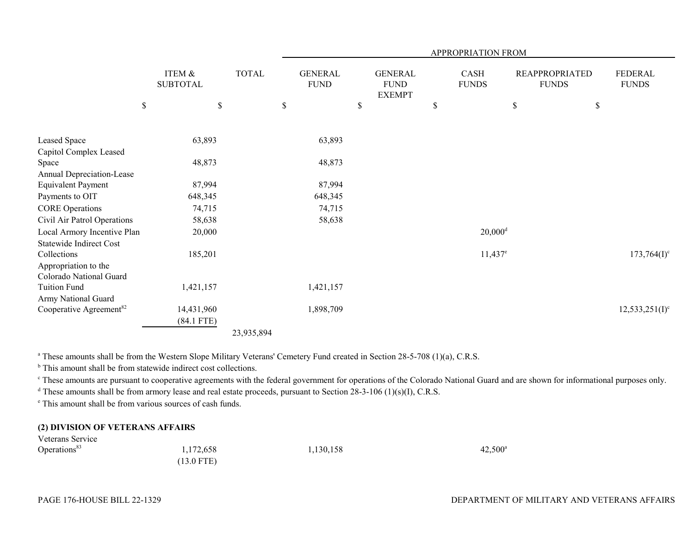|                                                 |              |                           |              | APPROPRIATION FROM            |    |                                                |    |                       |             |                                       |                                |
|-------------------------------------------------|--------------|---------------------------|--------------|-------------------------------|----|------------------------------------------------|----|-----------------------|-------------|---------------------------------------|--------------------------------|
|                                                 |              | ITEM &<br><b>SUBTOTAL</b> | <b>TOTAL</b> | <b>GENERAL</b><br><b>FUND</b> |    | <b>GENERAL</b><br><b>FUND</b><br><b>EXEMPT</b> |    | CASH<br><b>FUNDS</b>  |             | <b>REAPPROPRIATED</b><br><b>FUNDS</b> | <b>FEDERAL</b><br><b>FUNDS</b> |
|                                                 | $\mathbb{S}$ | $\$$                      |              | \$                            | \$ |                                                | \$ |                       | $\mathbb S$ | \$                                    |                                |
| Leased Space                                    |              | 63,893                    |              | 63,893                        |    |                                                |    |                       |             |                                       |                                |
| Capitol Complex Leased                          |              |                           |              |                               |    |                                                |    |                       |             |                                       |                                |
| Space                                           |              | 48,873                    |              | 48,873                        |    |                                                |    |                       |             |                                       |                                |
| Annual Depreciation-Lease                       |              |                           |              |                               |    |                                                |    |                       |             |                                       |                                |
| <b>Equivalent Payment</b>                       |              | 87,994                    |              | 87,994                        |    |                                                |    |                       |             |                                       |                                |
| Payments to OIT                                 |              | 648,345                   |              | 648,345                       |    |                                                |    |                       |             |                                       |                                |
| <b>CORE Operations</b>                          |              | 74,715                    |              | 74,715                        |    |                                                |    |                       |             |                                       |                                |
| Civil Air Patrol Operations                     |              | 58,638                    |              | 58,638                        |    |                                                |    |                       |             |                                       |                                |
| Local Armory Incentive Plan                     |              | 20,000                    |              |                               |    |                                                |    | $20,000$ <sup>d</sup> |             |                                       |                                |
| Statewide Indirect Cost                         |              |                           |              |                               |    |                                                |    |                       |             |                                       |                                |
| Collections                                     |              | 185,201                   |              |                               |    |                                                |    | $11,437$ <sup>e</sup> |             |                                       | $173,764(I)^c$                 |
| Appropriation to the<br>Colorado National Guard |              |                           |              |                               |    |                                                |    |                       |             |                                       |                                |
| <b>Tuition Fund</b>                             |              | 1,421,157                 |              | 1,421,157                     |    |                                                |    |                       |             |                                       |                                |
| Army National Guard                             |              |                           |              |                               |    |                                                |    |                       |             |                                       |                                |
| Cooperative Agreement <sup>82</sup>             |              | 14,431,960                |              | 1,898,709                     |    |                                                |    |                       |             |                                       | $12,533,251(I)^c$              |
|                                                 |              | $(84.1$ FTE)              |              |                               |    |                                                |    |                       |             |                                       |                                |
|                                                 |              |                           | 23,935,894   |                               |    |                                                |    |                       |             |                                       |                                |

<sup>a</sup> These amounts shall be from the Western Slope Military Veterans' Cemetery Fund created in Section 28-5-708 (1)(a), C.R.S.

<sup>b</sup> This amount shall be from statewide indirect cost collections.

<sup>c</sup> These amounts are pursuant to cooperative agreements with the federal government for operations of the Colorado National Guard and are shown for informational purposes only.

<sup>d</sup> These amounts shall be from armory lease and real estate proceeds, pursuant to Section 28-3-106 (1)(s)(I), C.R.S.

e This amount shall be from various sources of cash funds.

## **(2) DIVISION OF VETERANS AFFAIRS** Veterans Service

| <u>V Ciclails</u> OCIVICC |                      |           |                  |
|---------------------------|----------------------|-----------|------------------|
| Operations <sup>83</sup>  | 1,172,658            | 1,130,158 | $42,500^{\rm a}$ |
|                           | $(13.0 \text{ FTE})$ |           |                  |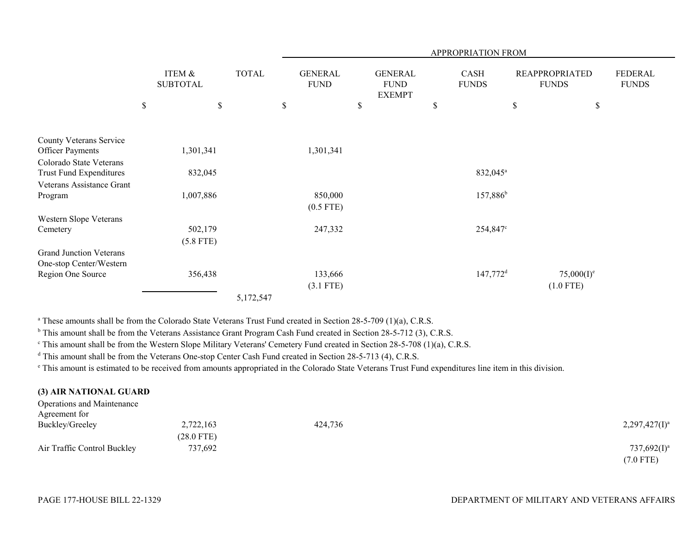|                                                           |      |                           |              | APPROPRIATION FROM |                               |    |                                                |    |                        |                                       |               |                         |
|-----------------------------------------------------------|------|---------------------------|--------------|--------------------|-------------------------------|----|------------------------------------------------|----|------------------------|---------------------------------------|---------------|-------------------------|
|                                                           |      | ITEM &<br><b>SUBTOTAL</b> | <b>TOTAL</b> |                    | <b>GENERAL</b><br><b>FUND</b> |    | <b>GENERAL</b><br><b>FUND</b><br><b>EXEMPT</b> |    | CASH<br><b>FUNDS</b>   | <b>REAPPROPRIATED</b><br><b>FUNDS</b> |               | FEDERAL<br><b>FUNDS</b> |
|                                                           | $\$$ | \$                        |              | \$                 |                               | \$ |                                                | \$ |                        | $\$$                                  | \$            |                         |
| County Veterans Service                                   |      |                           |              |                    |                               |    |                                                |    |                        |                                       |               |                         |
| <b>Officer Payments</b>                                   |      | 1,301,341                 |              |                    | 1,301,341                     |    |                                                |    |                        |                                       |               |                         |
| Colorado State Veterans                                   |      |                           |              |                    |                               |    |                                                |    |                        |                                       |               |                         |
| Trust Fund Expenditures                                   |      | 832,045                   |              |                    |                               |    |                                                |    | 832,045 <sup>a</sup>   |                                       |               |                         |
| Veterans Assistance Grant                                 |      |                           |              |                    |                               |    |                                                |    |                        |                                       |               |                         |
| Program                                                   |      | 1,007,886                 |              |                    | 850,000                       |    |                                                |    | $157,886^b$            |                                       |               |                         |
|                                                           |      |                           |              |                    | $(0.5$ FTE)                   |    |                                                |    |                        |                                       |               |                         |
| Western Slope Veterans                                    |      |                           |              |                    |                               |    |                                                |    |                        |                                       |               |                         |
| Cemetery                                                  |      | 502,179                   |              |                    | 247,332                       |    |                                                |    | 254,847°               |                                       |               |                         |
|                                                           |      | $(5.8$ FTE)               |              |                    |                               |    |                                                |    |                        |                                       |               |                         |
| <b>Grand Junction Veterans</b><br>One-stop Center/Western |      |                           |              |                    |                               |    |                                                |    |                        |                                       |               |                         |
| Region One Source                                         |      | 356,438                   |              |                    | 133,666                       |    |                                                |    | $147,772$ <sup>d</sup> |                                       | $75,000(I)^e$ |                         |
|                                                           |      |                           |              |                    | $(3.1$ FTE)                   |    |                                                |    |                        |                                       | $(1.0$ FTE)   |                         |
|                                                           |      |                           | 5,172,547    |                    |                               |    |                                                |    |                        |                                       |               |                         |

<sup>a</sup> These amounts shall be from the Colorado State Veterans Trust Fund created in Section 28-5-709 (1)(a), C.R.S.

<sup>b</sup> This amount shall be from the Veterans Assistance Grant Program Cash Fund created in Section 28-5-712 (3), C.R.S.

c This amount shall be from the Western Slope Military Veterans' Cemetery Fund created in Section 28-5-708 (1)(a), C.R.S.

<sup>d</sup> This amount shall be from the Veterans One-stop Center Cash Fund created in Section 28-5-713 (4), C.R.S.

e This amount is estimated to be received from amounts appropriated in the Colorado State Veterans Trust Fund expenditures line item in this division.

## **(3) AIR NATIONAL GUARD**  $O$  agentions and Maintenance

| Operations and Maintenance  |                      |         |                  |
|-----------------------------|----------------------|---------|------------------|
| Agreement for               |                      |         |                  |
| Buckley/Greeley             | 2,722,163            | 424,736 | $2,297,427(I)^a$ |
|                             | $(28.0 \text{ FTE})$ |         |                  |
| Air Traffic Control Buckley | 737,692              |         | $737,692(1)^a$   |
|                             |                      |         | (7.0 FTE)        |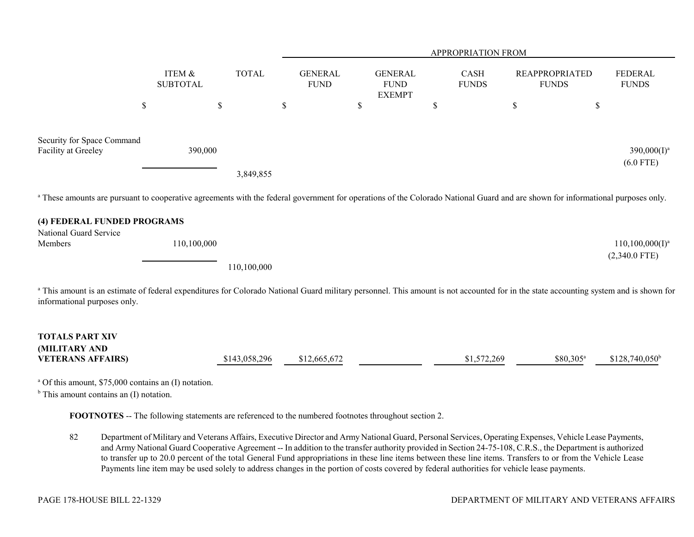|                                                                                                                                                                                                                       |                           |               |                               |                                                | <b>APPROPRIATION FROM</b>   |                                       |                                       |
|-----------------------------------------------------------------------------------------------------------------------------------------------------------------------------------------------------------------------|---------------------------|---------------|-------------------------------|------------------------------------------------|-----------------------------|---------------------------------------|---------------------------------------|
|                                                                                                                                                                                                                       | ITEM &<br><b>SUBTOTAL</b> | <b>TOTAL</b>  | <b>GENERAL</b><br><b>FUND</b> | <b>GENERAL</b><br><b>FUND</b><br><b>EXEMPT</b> | <b>CASH</b><br><b>FUNDS</b> | <b>REAPPROPRIATED</b><br><b>FUNDS</b> | <b>FEDERAL</b><br><b>FUNDS</b>        |
| \$                                                                                                                                                                                                                    | $\$$                      |               | $\mathbb{S}$                  | \$                                             | \$                          | \$                                    | \$                                    |
| Security for Space Command<br>Facility at Greeley                                                                                                                                                                     | 390,000                   |               |                               |                                                |                             |                                       | $390,000(I)^a$<br>$(6.0$ FTE)         |
|                                                                                                                                                                                                                       |                           | 3,849,855     |                               |                                                |                             |                                       |                                       |
| <sup>a</sup> These amounts are pursuant to cooperative agreements with the federal government for operations of the Colorado National Guard and are shown for informational purposes only.                            |                           |               |                               |                                                |                             |                                       |                                       |
| (4) FEDERAL FUNDED PROGRAMS                                                                                                                                                                                           |                           |               |                               |                                                |                             |                                       |                                       |
| National Guard Service                                                                                                                                                                                                |                           |               |                               |                                                |                             |                                       |                                       |
| Members                                                                                                                                                                                                               | 110,100,000               |               |                               |                                                |                             |                                       | $110,100,000(I)^a$<br>$(2,340.0$ FTE) |
|                                                                                                                                                                                                                       |                           | 110,100,000   |                               |                                                |                             |                                       |                                       |
| a This amount is an estimate of federal expenditures for Colorado National Guard military personnel. This amount is not accounted for in the state accounting system and is shown for<br>informational purposes only. |                           |               |                               |                                                |                             |                                       |                                       |
| <b>TOTALS PART XIV</b>                                                                                                                                                                                                |                           |               |                               |                                                |                             |                                       |                                       |
| (MILITARY AND<br><b>VETERANS AFFAIRS)</b>                                                                                                                                                                             |                           | \$143,058,296 | \$12,665,672                  |                                                | \$1,572,269                 | \$80,305 <sup>a</sup>                 | $$128,740,050^b$                      |
| <sup>a</sup> Of this amount, \$75,000 contains an (I) notation.<br>$b$ This amount contains an (I) notation.                                                                                                          |                           |               |                               |                                                |                             |                                       |                                       |

**FOOTNOTES** -- The following statements are referenced to the numbered footnotes throughout section 2.

82 Department of Military and Veterans Affairs, Executive Director and Army National Guard, Personal Services, Operating Expenses, Vehicle Lease Payments, and Army National Guard Cooperative Agreement -- In addition to the transfer authority provided in Section 24-75-108, C.R.S., the Department is authorized to transfer up to 20.0 percent of the total General Fund appropriations in these line items between these line items. Transfers to or from the Vehicle Lease Payments line item may be used solely to address changes in the portion of costs covered by federal authorities for vehicle lease payments.